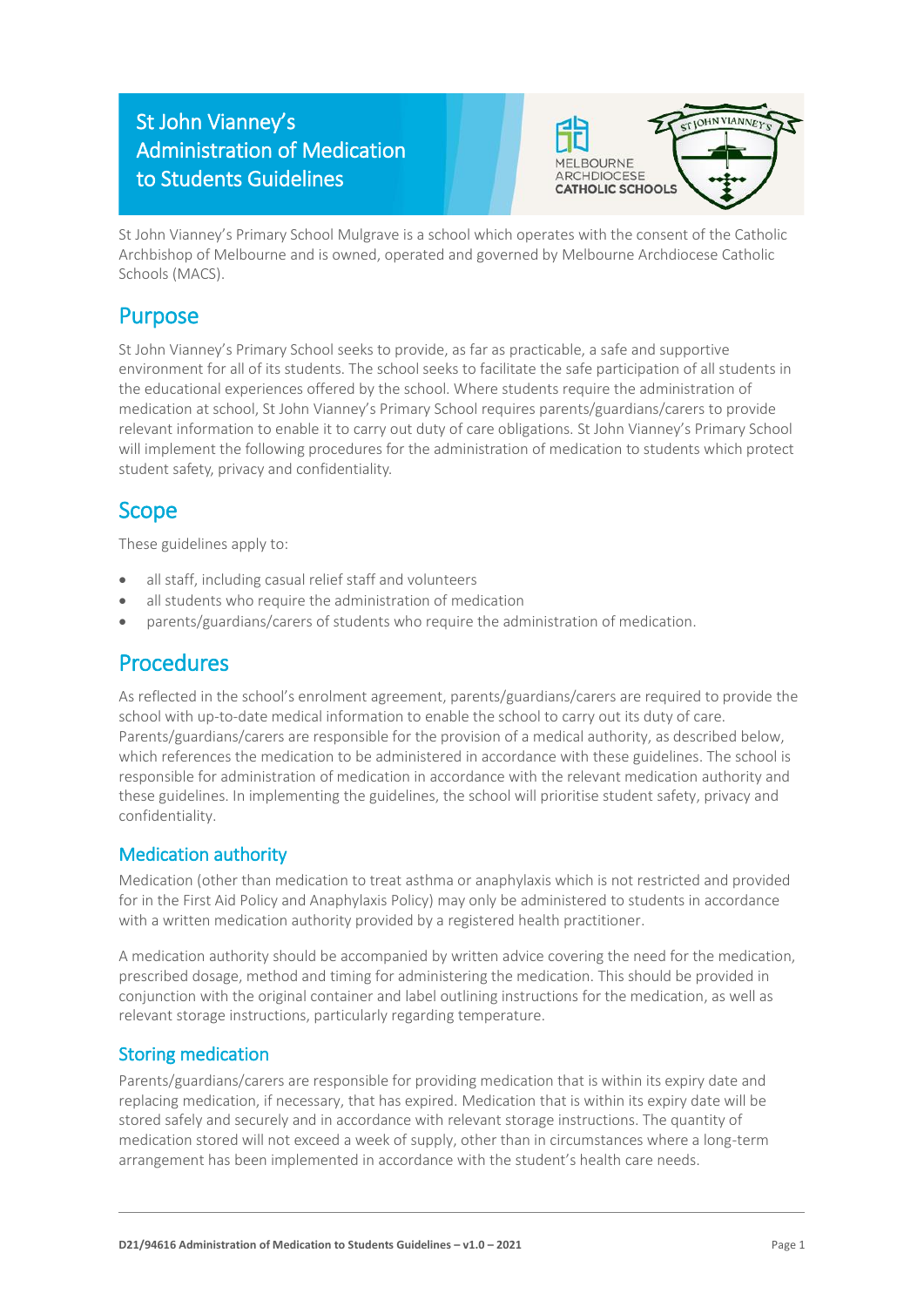# St John Vianney's Administration of Medication to Students Guidelines



St John Vianney's Primary School Mulgrave is a school which operates with the consent of the Catholic Archbishop of Melbourne and is owned, operated and governed by Melbourne Archdiocese Catholic Schools (MACS).

## Purpose

St John Vianney's Primary School seeks to provide, as far as practicable, a safe and supportive environment for all of its students. The school seeks to facilitate the safe participation of all students in the educational experiences offered by the school. Where students require the administration of medication at school, St John Vianney's Primary School requires parents/guardians/carers to provide relevant information to enable it to carry out duty of care obligations. St John Vianney's Primary School will implement the following procedures for the administration of medication to students which protect student safety, privacy and confidentiality.

# Scope

These guidelines apply to:

- all staff, including casual relief staff and volunteers
- all students who require the administration of medication
- parents/guardians/carers of students who require the administration of medication.

### Procedures

As reflected in the school's enrolment agreement, parents/guardians/carers are required to provide the school with up-to-date medical information to enable the school to carry out its duty of care. Parents/guardians/carers are responsible for the provision of a medical authority, as described below, which references the medication to be administered in accordance with these guidelines. The school is responsible for administration of medication in accordance with the relevant medication authority and these guidelines. In implementing the guidelines, the school will prioritise student safety, privacy and confidentiality.

### Medication authority

Medication (other than medication to treat asthma or anaphylaxis which is not restricted and provided for in the First Aid Policy and Anaphylaxis Policy) may only be administered to students in accordance with a written medication authority provided by a registered health practitioner.

A medication authority should be accompanied by written advice covering the need for the medication, prescribed dosage, method and timing for administering the medication. This should be provided in conjunction with the original container and label outlining instructions for the medication, as well as relevant storage instructions, particularly regarding temperature.

### Storing medication

Parents/guardians/carers are responsible for providing medication that is within its expiry date and replacing medication, if necessary, that has expired. Medication that is within its expiry date will be stored safely and securely and in accordance with relevant storage instructions. The quantity of medication stored will not exceed a week of supply, other than in circumstances where a long-term arrangement has been implemented in accordance with the student's health care needs.